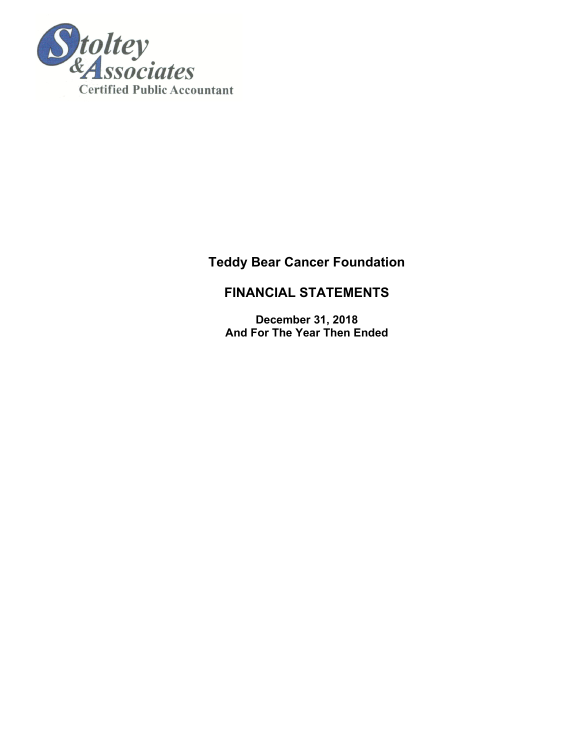

# **Teddy Bear Cancer Foundation**

# **FINANCIAL STATEMENTS**

**December 31, 2018 And For The Year Then Ended**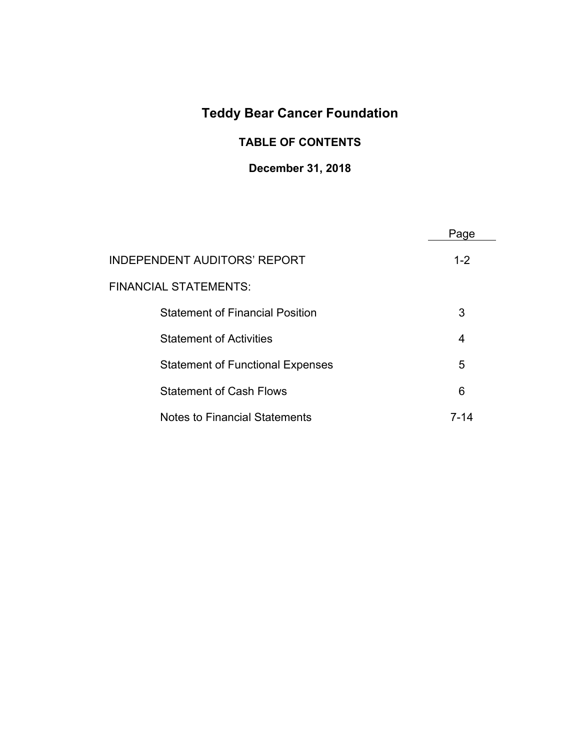# **Teddy Bear Cancer Foundation**

## **TABLE OF CONTENTS**

**December 31, 2018** 

|                                         | Page    |
|-----------------------------------------|---------|
| <b>INDEPENDENT AUDITORS' REPORT</b>     | $1 - 2$ |
| <b>FINANCIAL STATEMENTS:</b>            |         |
| <b>Statement of Financial Position</b>  | 3       |
| <b>Statement of Activities</b>          | 4       |
| <b>Statement of Functional Expenses</b> | 5       |
| <b>Statement of Cash Flows</b>          | 6       |
| <b>Notes to Financial Statements</b>    | 7-14    |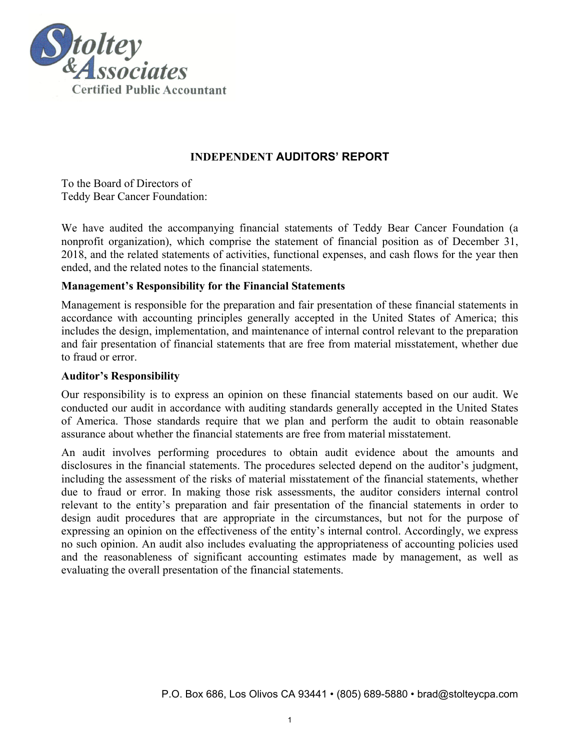

## **INDEPENDENT AUDITORS' REPORT**

To the Board of Directors of Teddy Bear Cancer Foundation:

We have audited the accompanying financial statements of Teddy Bear Cancer Foundation (a nonprofit organization), which comprise the statement of financial position as of December 31, 2018, and the related statements of activities, functional expenses, and cash flows for the year then ended, and the related notes to the financial statements.

### **Management's Responsibility for the Financial Statements**

Management is responsible for the preparation and fair presentation of these financial statements in accordance with accounting principles generally accepted in the United States of America; this includes the design, implementation, and maintenance of internal control relevant to the preparation and fair presentation of financial statements that are free from material misstatement, whether due to fraud or error.

#### **Auditor's Responsibility**

Our responsibility is to express an opinion on these financial statements based on our audit. We conducted our audit in accordance with auditing standards generally accepted in the United States of America. Those standards require that we plan and perform the audit to obtain reasonable assurance about whether the financial statements are free from material misstatement.

An audit involves performing procedures to obtain audit evidence about the amounts and disclosures in the financial statements. The procedures selected depend on the auditor's judgment, including the assessment of the risks of material misstatement of the financial statements, whether due to fraud or error. In making those risk assessments, the auditor considers internal control relevant to the entity's preparation and fair presentation of the financial statements in order to design audit procedures that are appropriate in the circumstances, but not for the purpose of expressing an opinion on the effectiveness of the entity's internal control. Accordingly, we express no such opinion. An audit also includes evaluating the appropriateness of accounting policies used and the reasonableness of significant accounting estimates made by management, as well as evaluating the overall presentation of the financial statements.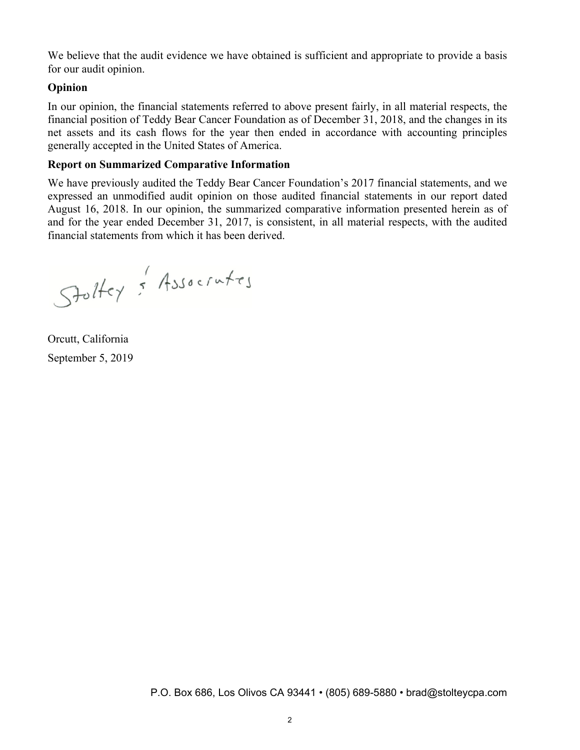We believe that the audit evidence we have obtained is sufficient and appropriate to provide a basis for our audit opinion.

#### **Opinion**

In our opinion, the financial statements referred to above present fairly, in all material respects, the financial position of Teddy Bear Cancer Foundation as of December 31, 2018, and the changes in its net assets and its cash flows for the year then ended in accordance with accounting principles generally accepted in the United States of America.

#### **Report on Summarized Comparative Information**

We have previously audited the Teddy Bear Cancer Foundation's 2017 financial statements, and we expressed an unmodified audit opinion on those audited financial statements in our report dated August 16, 2018. In our opinion, the summarized comparative information presented herein as of and for the year ended December 31, 2017, is consistent, in all material respects, with the audited financial statements from which it has been derived.

Staltey & Assocrates

Orcutt, California September 5, 2019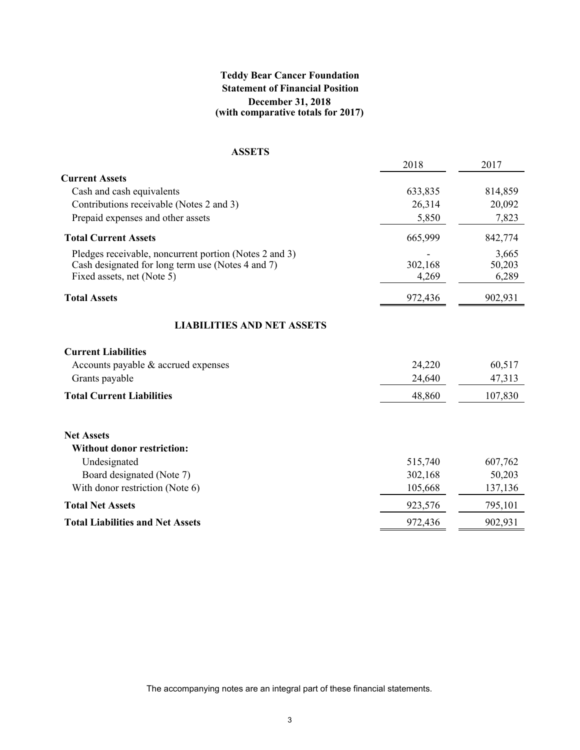#### **Teddy Bear Cancer Foundation Statement of Financial Position December 31, 2018 (with comparative totals for 2017)**

#### **ASSETS**

|                                                        | 2018    | 2017    |
|--------------------------------------------------------|---------|---------|
| <b>Current Assets</b>                                  |         |         |
| Cash and cash equivalents                              | 633,835 | 814,859 |
| Contributions receivable (Notes 2 and 3)               | 26,314  | 20,092  |
| Prepaid expenses and other assets                      | 5,850   | 7,823   |
| <b>Total Current Assets</b>                            | 665,999 | 842,774 |
| Pledges receivable, noncurrent portion (Notes 2 and 3) |         | 3,665   |
| Cash designated for long term use (Notes 4 and 7)      | 302,168 | 50,203  |
| Fixed assets, net (Note 5)                             | 4,269   | 6,289   |
| <b>Total Assets</b>                                    | 972,436 | 902,931 |
| <b>LIABILITIES AND NET ASSETS</b>                      |         |         |
| <b>Current Liabilities</b>                             |         |         |
| Accounts payable & accrued expenses                    | 24,220  | 60,517  |
| Grants payable                                         | 24,640  | 47,313  |
| <b>Total Current Liabilities</b>                       | 48,860  | 107,830 |
| <b>Net Assets</b>                                      |         |         |
| <b>Without donor restriction:</b>                      |         |         |
| Undesignated                                           | 515,740 | 607,762 |
| Board designated (Note 7)                              | 302,168 | 50,203  |
| With donor restriction (Note 6)                        | 105,668 | 137,136 |
| <b>Total Net Assets</b>                                | 923,576 | 795,101 |
| <b>Total Liabilities and Net Assets</b>                | 972,436 | 902,931 |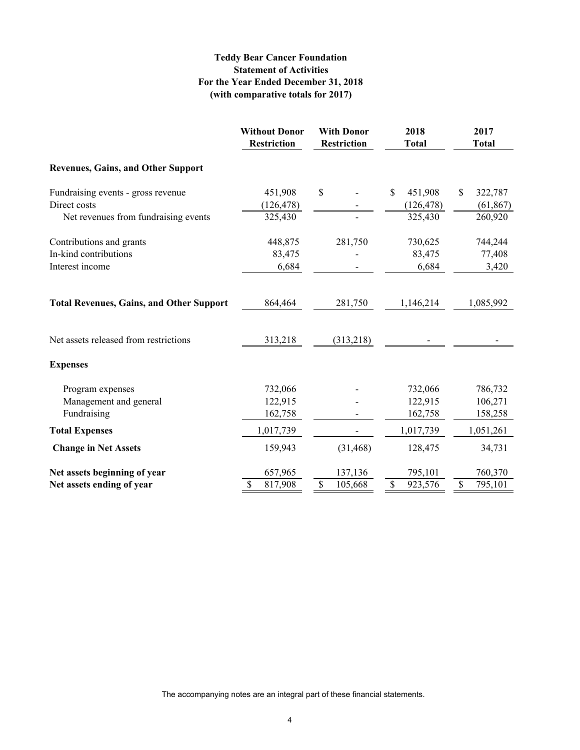#### **Teddy Bear Cancer Foundation Statement of Activities For the Year Ended December 31, 2018 (with comparative totals for 2017)**

|                                                 | <b>Without Donor</b><br><b>Restriction</b> | <b>With Donor</b><br><b>Restriction</b> | 2018<br><b>Total</b> | 2017<br><b>Total</b> |
|-------------------------------------------------|--------------------------------------------|-----------------------------------------|----------------------|----------------------|
| <b>Revenues, Gains, and Other Support</b>       |                                            |                                         |                      |                      |
| Fundraising events - gross revenue              | 451,908                                    | \$                                      | \$<br>451,908        | \$<br>322,787        |
| Direct costs                                    | (126, 478)                                 |                                         | (126, 478)           | (61, 867)            |
| Net revenues from fundraising events            | 325,430                                    |                                         | 325,430              | 260,920              |
| Contributions and grants                        | 448,875                                    | 281,750                                 | 730,625              | 744,244              |
| In-kind contributions                           | 83,475                                     |                                         | 83,475               | 77,408               |
| Interest income                                 | 6,684                                      |                                         | 6,684                | 3,420                |
| <b>Total Revenues, Gains, and Other Support</b> | 864,464                                    | 281,750                                 | 1,146,214            | 1,085,992            |
| Net assets released from restrictions           | 313,218                                    | (313,218)                               |                      |                      |
| <b>Expenses</b>                                 |                                            |                                         |                      |                      |
| Program expenses                                | 732,066                                    |                                         | 732,066              | 786,732              |
| Management and general                          | 122,915                                    |                                         | 122,915              | 106,271              |
| Fundraising                                     | 162,758                                    |                                         | 162,758              | 158,258              |
| <b>Total Expenses</b>                           | 1,017,739                                  |                                         | 1,017,739            | 1,051,261            |
| <b>Change in Net Assets</b>                     | 159,943                                    | (31, 468)                               | 128,475              | 34,731               |
| Net assets beginning of year                    | 657,965                                    | 137,136                                 | 795,101              | 760,370              |
| Net assets ending of year                       | \$<br>817,908                              | \$<br>105,668                           | \$<br>923,576        | \$<br>795,101        |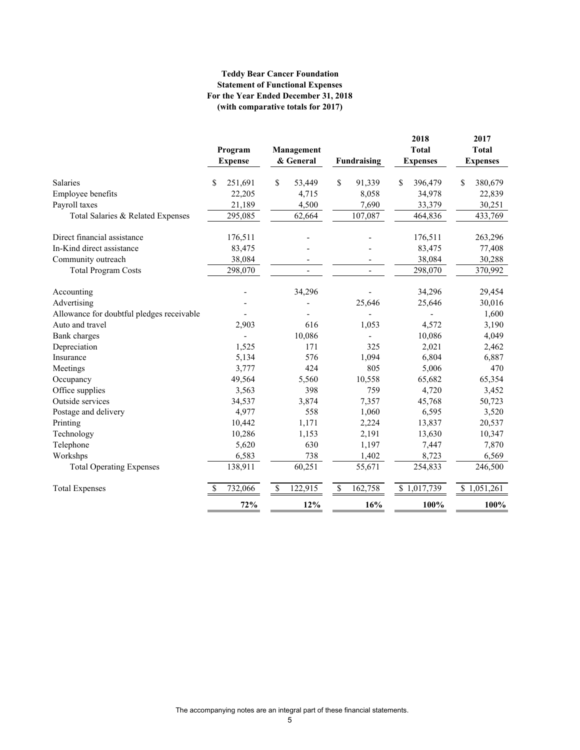#### **(with comparative totals for 2017) Teddy Bear Cancer Foundation Statement of Functional Expenses For the Year Ended December 31, 2018**

|                                           | Program<br><b>Expense</b> | Management<br>& General | <b>Fundraising</b> | 2018<br><b>Total</b><br><b>Expenses</b> | 2017<br><b>Total</b><br><b>Expenses</b> |
|-------------------------------------------|---------------------------|-------------------------|--------------------|-----------------------------------------|-----------------------------------------|
| <b>Salaries</b>                           | 251,691<br>S              | \$<br>53,449            | \$<br>91,339       | 396,479<br>\$                           | 380,679<br>\$                           |
| Employee benefits                         | 22,205                    | 4,715                   | 8,058              | 34,978                                  | 22,839                                  |
| Payroll taxes                             | 21,189                    | 4,500                   | 7,690              | 33,379                                  | 30,251                                  |
| Total Salaries & Related Expenses         | 295,085                   | 62,664                  | 107,087            | 464,836                                 | 433,769                                 |
| Direct financial assistance               | 176,511                   |                         |                    | 176,511                                 | 263,296                                 |
| In-Kind direct assistance                 | 83,475                    |                         |                    | 83,475                                  | 77,408                                  |
| Community outreach                        | 38,084                    |                         |                    | 38,084                                  | 30,288                                  |
| <b>Total Program Costs</b>                | 298,070                   |                         |                    | 298,070                                 | 370,992                                 |
| Accounting                                |                           | 34,296                  |                    | 34,296                                  | 29,454                                  |
| Advertising                               |                           |                         | 25,646             | 25,646                                  | 30,016                                  |
| Allowance for doubtful pledges receivable |                           |                         |                    |                                         | 1,600                                   |
| Auto and travel                           | 2,903                     | 616                     | 1,053              | 4,572                                   | 3,190                                   |
| <b>Bank</b> charges                       |                           | 10,086                  |                    | 10,086                                  | 4,049                                   |
| Depreciation                              | 1,525                     | 171                     | 325                | 2,021                                   | 2,462                                   |
| Insurance                                 | 5,134                     | 576                     | 1,094              | 6,804                                   | 6,887                                   |
| Meetings                                  | 3,777                     | 424                     | 805                | 5,006                                   | 470                                     |
| Occupancy                                 | 49,564                    | 5,560                   | 10,558             | 65,682                                  | 65,354                                  |
| Office supplies                           | 3,563                     | 398                     | 759                | 4,720                                   | 3,452                                   |
| Outside services                          | 34,537                    | 3,874                   | 7,357              | 45,768                                  | 50,723                                  |
| Postage and delivery                      | 4,977                     | 558                     | 1,060              | 6,595                                   | 3,520                                   |
| Printing                                  | 10,442                    | 1,171                   | 2,224              | 13,837                                  | 20,537                                  |
| Technology                                | 10,286                    | 1,153                   | 2,191              | 13,630                                  | 10,347                                  |
| Telephone                                 | 5,620                     | 630                     | 1,197              | 7,447                                   | 7,870                                   |
| Workshps                                  | 6,583                     | 738                     | 1,402              | 8,723                                   | 6,569                                   |
| <b>Total Operating Expenses</b>           | 138,911                   | 60,251                  | 55,671             | 254,833                                 | 246,500                                 |
| <b>Total Expenses</b>                     | 732,066<br>S              | $\mathbb{S}$<br>122,915 | \$<br>162,758      | \$1,017,739                             | \$1,051,261                             |
|                                           | 72%                       | 12%                     | 16%                | 100%                                    | 100%                                    |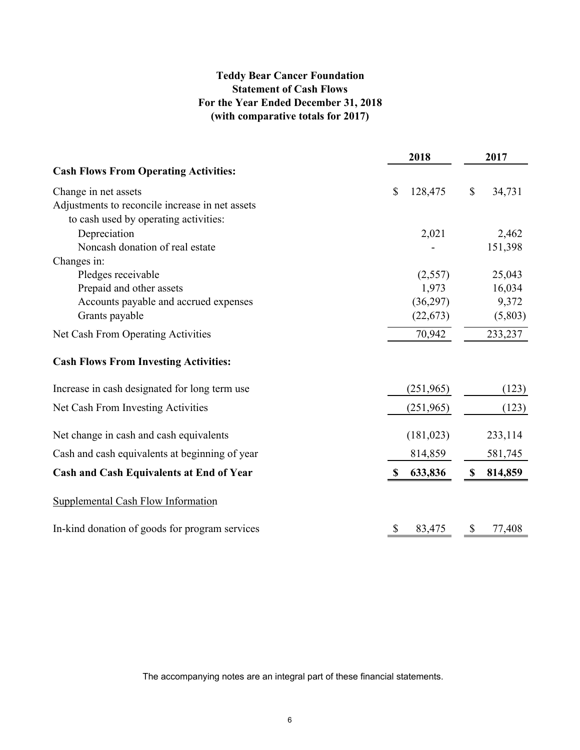## **Teddy Bear Cancer Foundation Statement of Cash Flows For the Year Ended December 31, 2018 (with comparative totals for 2017)**

|                                                 | 2018                |                          |
|-------------------------------------------------|---------------------|--------------------------|
| <b>Cash Flows From Operating Activities:</b>    |                     |                          |
| Change in net assets                            | \$<br>128,475       | $\mathbb{S}$<br>34,731   |
| Adjustments to reconcile increase in net assets |                     |                          |
| to cash used by operating activities:           |                     |                          |
| Depreciation                                    | 2,021               | 2,462                    |
| Noncash donation of real estate                 |                     | 151,398                  |
| Changes in:                                     |                     |                          |
| Pledges receivable                              | (2,557)             | 25,043                   |
| Prepaid and other assets                        | 1,973               | 16,034                   |
| Accounts payable and accrued expenses           | (36,297)            | 9,372                    |
| Grants payable                                  | (22, 673)           | (5,803)                  |
| Net Cash From Operating Activities              | 70,942              | 233,237                  |
| <b>Cash Flows From Investing Activities:</b>    |                     |                          |
| Increase in cash designated for long term use   | (251,965)           | (123)                    |
| Net Cash From Investing Activities              | (251,965)           | (123)                    |
| Net change in cash and cash equivalents         | (181, 023)          | 233,114                  |
| Cash and cash equivalents at beginning of year  | 814,859             | 581,745                  |
| <b>Cash and Cash Equivalents at End of Year</b> | 633,836<br><b>S</b> | 814,859<br>$\mathbf{\$}$ |
| Supplemental Cash Flow Information              |                     |                          |
| In-kind donation of goods for program services  | \$<br>83,475        | $\mathbb{S}$<br>77,408   |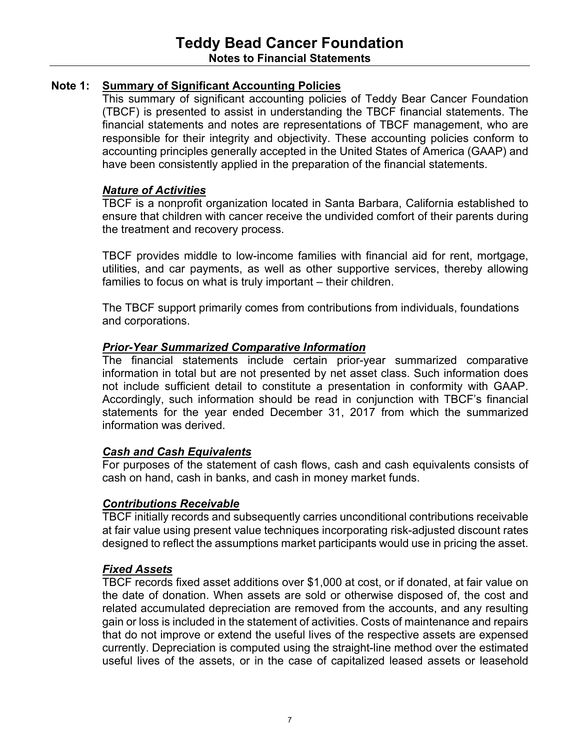## **Note 1: Summary of Significant Accounting Policies**

This summary of significant accounting policies of Teddy Bear Cancer Foundation (TBCF) is presented to assist in understanding the TBCF financial statements. The financial statements and notes are representations of TBCF management, who are responsible for their integrity and objectivity. These accounting policies conform to accounting principles generally accepted in the United States of America (GAAP) and have been consistently applied in the preparation of the financial statements.

### *Nature of Activities*

TBCF is a nonprofit organization located in Santa Barbara, California established to ensure that children with cancer receive the undivided comfort of their parents during the treatment and recovery process.

TBCF provides middle to low-income families with financial aid for rent, mortgage, utilities, and car payments, as well as other supportive services, thereby allowing families to focus on what is truly important – their children.

The TBCF support primarily comes from contributions from individuals, foundations and corporations.

## *Prior-Year Summarized Comparative Information*

The financial statements include certain prior-year summarized comparative information in total but are not presented by net asset class. Such information does not include sufficient detail to constitute a presentation in conformity with GAAP. Accordingly, such information should be read in conjunction with TBCF's financial statements for the year ended December 31, 2017 from which the summarized information was derived.

### *Cash and Cash Equivalents*

For purposes of the statement of cash flows, cash and cash equivalents consists of cash on hand, cash in banks, and cash in money market funds.

### *Contributions Receivable*

TBCF initially records and subsequently carries unconditional contributions receivable at fair value using present value techniques incorporating risk-adjusted discount rates designed to reflect the assumptions market participants would use in pricing the asset.

## *Fixed Assets*

TBCF records fixed asset additions over \$1,000 at cost, or if donated, at fair value on the date of donation. When assets are sold or otherwise disposed of, the cost and related accumulated depreciation are removed from the accounts, and any resulting gain or loss is included in the statement of activities. Costs of maintenance and repairs that do not improve or extend the useful lives of the respective assets are expensed currently. Depreciation is computed using the straight-line method over the estimated useful lives of the assets, or in the case of capitalized leased assets or leasehold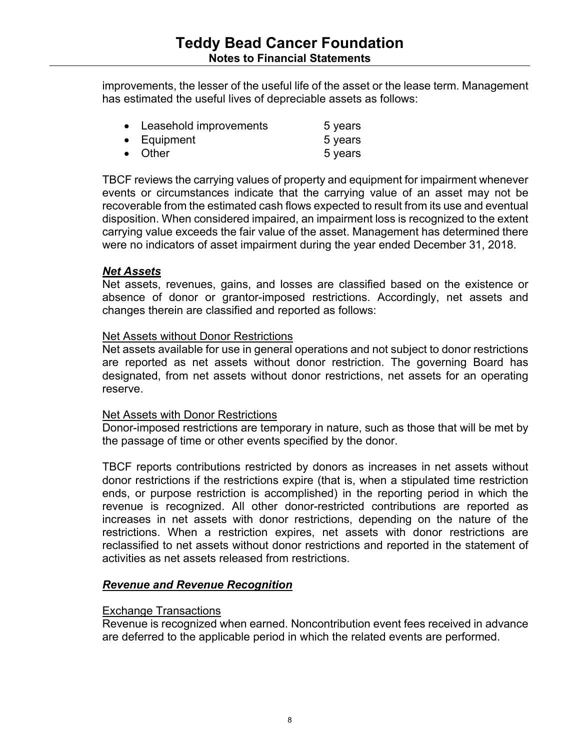improvements, the lesser of the useful life of the asset or the lease term. Management has estimated the useful lives of depreciable assets as follows:

| • Leasehold improvements | 5 years |
|--------------------------|---------|
| $\bullet$ Equipment      | 5 years |
| $\bullet$ Other          | 5 years |

TBCF reviews the carrying values of property and equipment for impairment whenever events or circumstances indicate that the carrying value of an asset may not be recoverable from the estimated cash flows expected to result from its use and eventual disposition. When considered impaired, an impairment loss is recognized to the extent carrying value exceeds the fair value of the asset. Management has determined there were no indicators of asset impairment during the year ended December 31, 2018.

## *Net Assets*

Net assets, revenues, gains, and losses are classified based on the existence or absence of donor or grantor-imposed restrictions. Accordingly, net assets and changes therein are classified and reported as follows:

### Net Assets without Donor Restrictions

Net assets available for use in general operations and not subject to donor restrictions are reported as net assets without donor restriction. The governing Board has designated, from net assets without donor restrictions, net assets for an operating reserve.

### Net Assets with Donor Restrictions

Donor-imposed restrictions are temporary in nature, such as those that will be met by the passage of time or other events specified by the donor.

TBCF reports contributions restricted by donors as increases in net assets without donor restrictions if the restrictions expire (that is, when a stipulated time restriction ends, or purpose restriction is accomplished) in the reporting period in which the revenue is recognized. All other donor-restricted contributions are reported as increases in net assets with donor restrictions, depending on the nature of the restrictions. When a restriction expires, net assets with donor restrictions are reclassified to net assets without donor restrictions and reported in the statement of activities as net assets released from restrictions.

## *Revenue and Revenue Recognition*

### Exchange Transactions

Revenue is recognized when earned. Noncontribution event fees received in advance are deferred to the applicable period in which the related events are performed.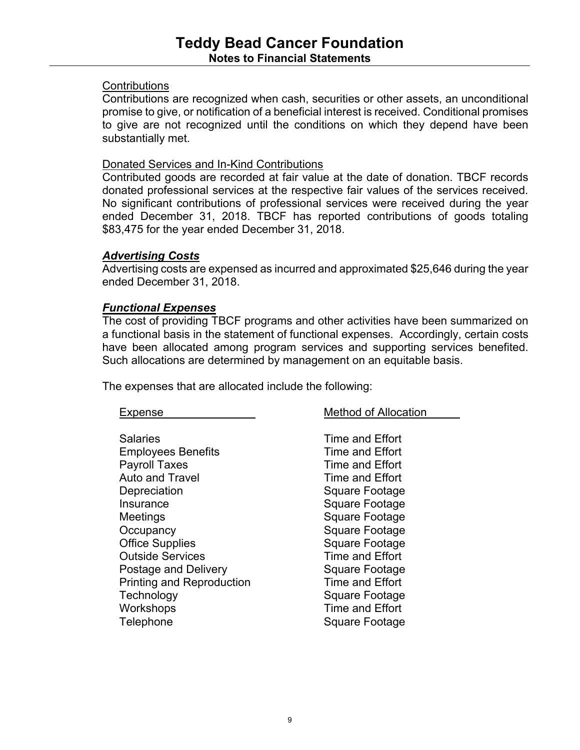## **Contributions**

Contributions are recognized when cash, securities or other assets, an unconditional promise to give, or notification of a beneficial interest is received. Conditional promises to give are not recognized until the conditions on which they depend have been substantially met.

## Donated Services and In-Kind Contributions

Contributed goods are recorded at fair value at the date of donation. TBCF records donated professional services at the respective fair values of the services received. No significant contributions of professional services were received during the year ended December 31, 2018. TBCF has reported contributions of goods totaling \$83,475 for the year ended December 31, 2018.

## *Advertising Costs*

Advertising costs are expensed as incurred and approximated \$25,646 during the year ended December 31, 2018.

## *Functional Expenses*

The cost of providing TBCF programs and other activities have been summarized on a functional basis in the statement of functional expenses. Accordingly, certain costs have been allocated among program services and supporting services benefited. Such allocations are determined by management on an equitable basis.

The expenses that are allocated include the following:

| <b>Salaries</b>                  |
|----------------------------------|
| <b>Employees Benefits</b>        |
| <b>Payroll Taxes</b>             |
| <b>Auto and Travel</b>           |
| Depreciation                     |
| Insurance                        |
| Meetings                         |
| Occupancy                        |
| <b>Office Supplies</b>           |
| <b>Outside Services</b>          |
| <b>Postage and Delivery</b>      |
| <b>Printing and Reproduction</b> |
| Technology                       |
| Workshops                        |
| Telephone                        |
|                                  |

Expense Method of Allocation

Time and Effort Time and Effort Time and Effort Time and Effort Square Footage Square Footage Square Footage Square Footage Square Footage Time and Effort **Square Footage** Time and Effort Square Footage Time and Effort Square Footage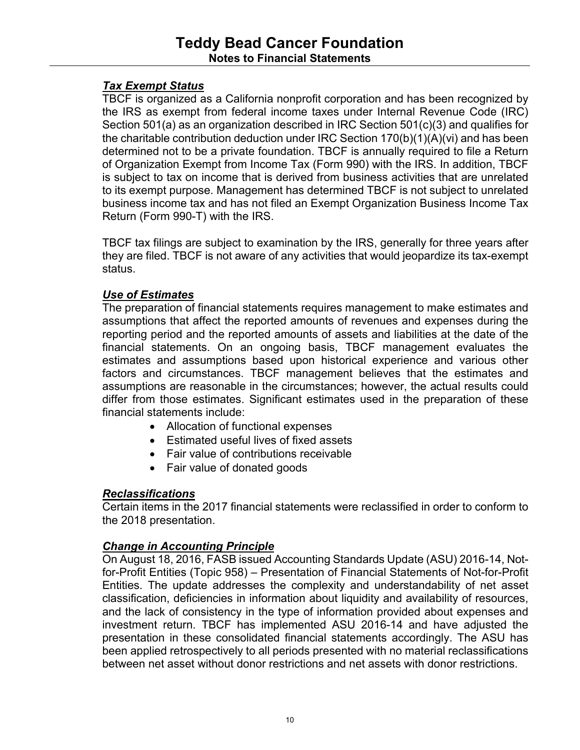## *Tax Exempt Status*

TBCF is organized as a California nonprofit corporation and has been recognized by the IRS as exempt from federal income taxes under Internal Revenue Code (IRC) Section 501(a) as an organization described in IRC Section 501(c)(3) and qualifies for the charitable contribution deduction under IRC Section  $170(b)(1)(A)(vi)$  and has been determined not to be a private foundation. TBCF is annually required to file a Return of Organization Exempt from Income Tax (Form 990) with the IRS. In addition, TBCF is subject to tax on income that is derived from business activities that are unrelated to its exempt purpose. Management has determined TBCF is not subject to unrelated business income tax and has not filed an Exempt Organization Business Income Tax Return (Form 990-T) with the IRS.

TBCF tax filings are subject to examination by the IRS, generally for three years after they are filed. TBCF is not aware of any activities that would jeopardize its tax-exempt status.

## *Use of Estimates*

The preparation of financial statements requires management to make estimates and assumptions that affect the reported amounts of revenues and expenses during the reporting period and the reported amounts of assets and liabilities at the date of the financial statements. On an ongoing basis, TBCF management evaluates the estimates and assumptions based upon historical experience and various other factors and circumstances. TBCF management believes that the estimates and assumptions are reasonable in the circumstances; however, the actual results could differ from those estimates. Significant estimates used in the preparation of these financial statements include:

- Allocation of functional expenses
- Estimated useful lives of fixed assets
- Fair value of contributions receivable
- Fair value of donated goods

## *Reclassifications*

Certain items in the 2017 financial statements were reclassified in order to conform to the 2018 presentation.

## *Change in Accounting Principle*

On August 18, 2016, FASB issued Accounting Standards Update (ASU) 2016-14, Notfor-Profit Entities (Topic 958) – Presentation of Financial Statements of Not-for-Profit Entities. The update addresses the complexity and understandability of net asset classification, deficiencies in information about liquidity and availability of resources, and the lack of consistency in the type of information provided about expenses and investment return. TBCF has implemented ASU 2016-14 and have adjusted the presentation in these consolidated financial statements accordingly. The ASU has been applied retrospectively to all periods presented with no material reclassifications between net asset without donor restrictions and net assets with donor restrictions.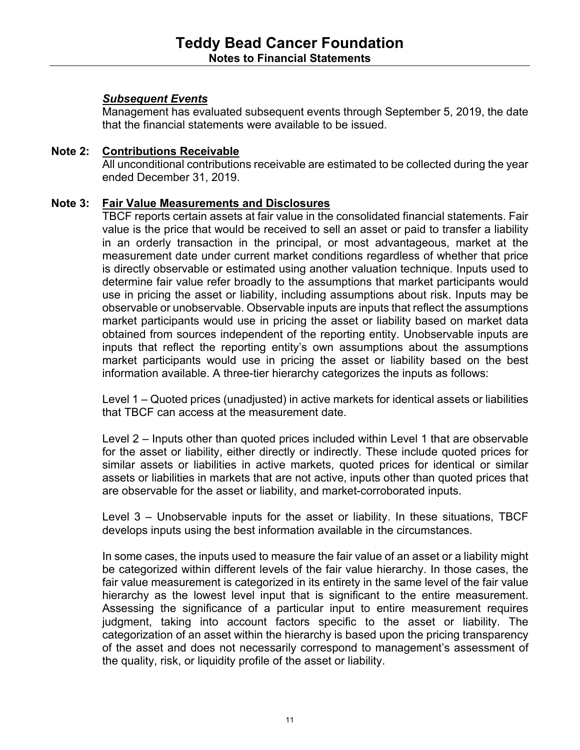## *Subsequent Events*

Management has evaluated subsequent events through September 5, 2019, the date that the financial statements were available to be issued.

#### **Note 2: Contributions Receivable**  All unconditional contributions receivable are estimated to be collected during the year ended December 31, 2019.

## **Note 3: Fair Value Measurements and Disclosures**

TBCF reports certain assets at fair value in the consolidated financial statements. Fair value is the price that would be received to sell an asset or paid to transfer a liability in an orderly transaction in the principal, or most advantageous, market at the measurement date under current market conditions regardless of whether that price is directly observable or estimated using another valuation technique. Inputs used to determine fair value refer broadly to the assumptions that market participants would use in pricing the asset or liability, including assumptions about risk. Inputs may be observable or unobservable. Observable inputs are inputs that reflect the assumptions market participants would use in pricing the asset or liability based on market data obtained from sources independent of the reporting entity. Unobservable inputs are inputs that reflect the reporting entity's own assumptions about the assumptions market participants would use in pricing the asset or liability based on the best information available. A three-tier hierarchy categorizes the inputs as follows:

Level 1 – Quoted prices (unadjusted) in active markets for identical assets or liabilities that TBCF can access at the measurement date.

Level 2 – Inputs other than quoted prices included within Level 1 that are observable for the asset or liability, either directly or indirectly. These include quoted prices for similar assets or liabilities in active markets, quoted prices for identical or similar assets or liabilities in markets that are not active, inputs other than quoted prices that are observable for the asset or liability, and market-corroborated inputs.

Level 3 – Unobservable inputs for the asset or liability. In these situations, TBCF develops inputs using the best information available in the circumstances.

In some cases, the inputs used to measure the fair value of an asset or a liability might be categorized within different levels of the fair value hierarchy. In those cases, the fair value measurement is categorized in its entirety in the same level of the fair value hierarchy as the lowest level input that is significant to the entire measurement. Assessing the significance of a particular input to entire measurement requires judgment, taking into account factors specific to the asset or liability. The categorization of an asset within the hierarchy is based upon the pricing transparency of the asset and does not necessarily correspond to management's assessment of the quality, risk, or liquidity profile of the asset or liability.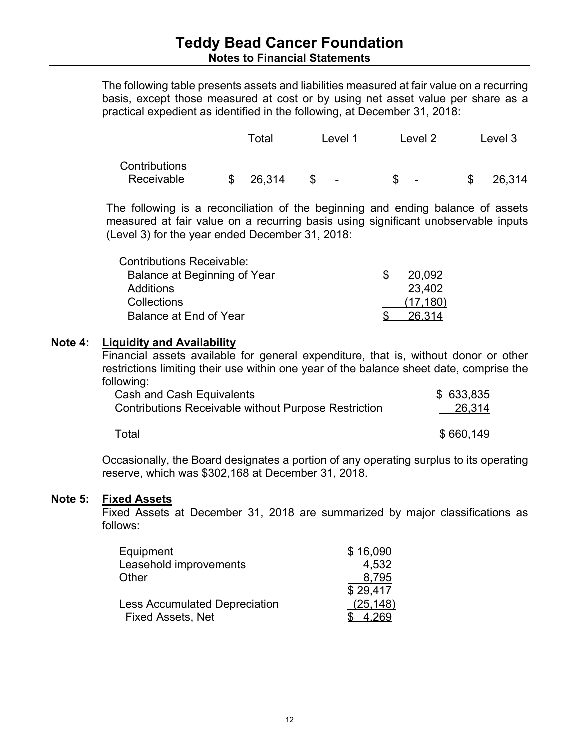The following table presents assets and liabilities measured at fair value on a recurring basis, except those measured at cost or by using net asset value per share as a practical expedient as identified in the following, at December 31, 2018:

|                             | $\tau$ otal | ∟evel 1                  |    | l evel 2                 |  | Level 3 |
|-----------------------------|-------------|--------------------------|----|--------------------------|--|---------|
| Contributions<br>Receivable | 26,314      | $\overline{\phantom{0}}$ | ۰D | $\overline{\phantom{0}}$ |  | 26,314  |

The following is a reconciliation of the beginning and ending balance of assets measured at fair value on a recurring basis using significant unobservable inputs (Level 3) for the year ended December 31, 2018:

| <b>Contributions Receivable:</b> |           |
|----------------------------------|-----------|
| Balance at Beginning of Year     | 20,092    |
| Additions                        | 23,402    |
| <b>Collections</b>               | (17, 180) |
| Balance at End of Year           | 26.314    |

#### **Note 4: Liquidity and Availability**

Financial assets available for general expenditure, that is, without donor or other restrictions limiting their use within one year of the balance sheet date, comprise the following:

| Cash and Cash Equivalents                                   | \$ 633,835 |
|-------------------------------------------------------------|------------|
| <b>Contributions Receivable without Purpose Restriction</b> | 26,314     |
|                                                             |            |
| Total                                                       | \$660.149  |

Occasionally, the Board designates a portion of any operating surplus to its operating reserve, which was \$302,168 at December 31, 2018.

#### **Note 5: Fixed Assets**

Fixed Assets at December 31, 2018 are summarized by major classifications as follows:

| Equipment                            | \$16,090  |
|--------------------------------------|-----------|
| Leasehold improvements               | 4,532     |
| Other                                | 8,795     |
|                                      | \$29,417  |
| <b>Less Accumulated Depreciation</b> | (25, 148) |
| <b>Fixed Assets, Net</b>             | 4 269     |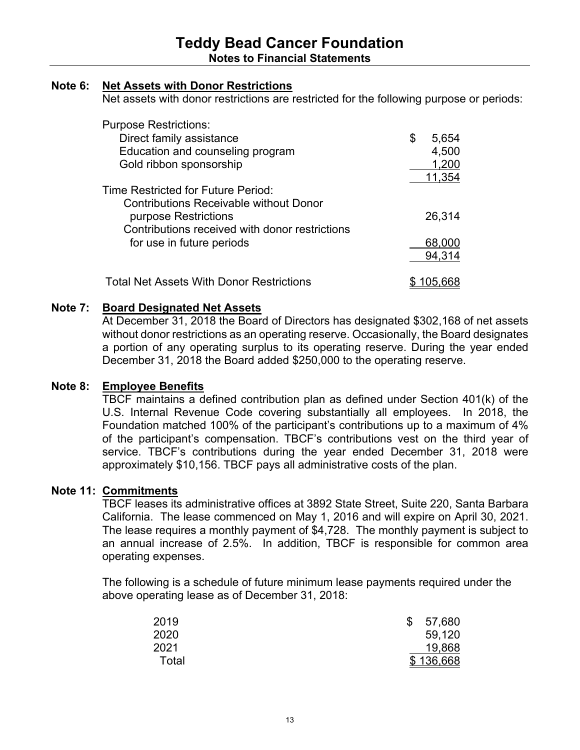## **Note 6: Net Assets with Donor Restrictions**

Net assets with donor restrictions are restricted for the following purpose or periods:

| <b>Purpose Restrictions:</b>                    |             |
|-------------------------------------------------|-------------|
| Direct family assistance                        | \$<br>5,654 |
| Education and counseling program                | 4,500       |
| Gold ribbon sponsorship                         | 1,200       |
|                                                 | 11,354      |
| Time Restricted for Future Period:              |             |
| <b>Contributions Receivable without Donor</b>   |             |
| purpose Restrictions                            | 26,314      |
| Contributions received with donor restrictions  |             |
| for use in future periods                       | 68,000      |
|                                                 | 94,314      |
|                                                 |             |
| <b>Total Net Assets With Donor Restrictions</b> |             |

### **Note 7: Board Designated Net Assets**

At December 31, 2018 the Board of Directors has designated \$302,168 of net assets without donor restrictions as an operating reserve. Occasionally, the Board designates a portion of any operating surplus to its operating reserve. During the year ended December 31, 2018 the Board added \$250,000 to the operating reserve.

### **Note 8: Employee Benefits**

TBCF maintains a defined contribution plan as defined under Section 401(k) of the U.S. Internal Revenue Code covering substantially all employees. In 2018, the Foundation matched 100% of the participant's contributions up to a maximum of 4% of the participant's compensation. TBCF's contributions vest on the third year of service. TBCF's contributions during the year ended December 31, 2018 were approximately \$10,156. TBCF pays all administrative costs of the plan.

### **Note 11: Commitments**

TBCF leases its administrative offices at 3892 State Street, Suite 220, Santa Barbara California. The lease commenced on May 1, 2016 and will expire on April 30, 2021. The lease requires a monthly payment of \$4,728. The monthly payment is subject to an annual increase of 2.5%. In addition, TBCF is responsible for common area operating expenses.

The following is a schedule of future minimum lease payments required under the above operating lease as of December 31, 2018:

| 2019  | 57,680    |
|-------|-----------|
| 2020  | 59,120    |
| 2021  | 19,868    |
| Total | \$136,668 |